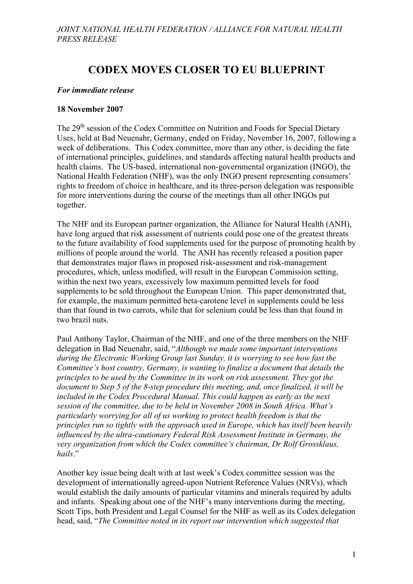# **CODEX MOVES CLOSER TO EU BLUEPRINT**

#### *For immediate release*

#### **18 November 2007**

The 29<sup>th</sup> session of the Codex Committee on Nutrition and Foods for Special Dietary Uses, held at Bad Neuenahr, Germany, ended on Friday, November 16, 2007, following a week of deliberations. This Codex committee, more than any other, is deciding the fate of international principles, guidelines, and standards affecting natural health products and health claims. The US-based, international non-governmental organization (INGO), the National Health Federation (NHF), was the only INGO present representing consumers' rights to freedom of choice in healthcare, and its three-person delegation was responsible for more interventions during the course of the meetings than all other INGOs put together.

The NHF and its European partner organization, the Alliance for Natural Health (ANH), have long argued that risk assessment of nutrients could pose one of the greatest threats to the future availability of food supplements used for the purpose of promoting health by millions of people around the world. The ANH has recently released a position paper that demonstrates major flaws in proposed risk-assessment and risk-management procedures, which, unless modified, will result in the European Commission setting, within the next two years, excessively low maximum permitted levels for food supplements to be sold throughout the European Union. This paper demonstrated that, for example, the maximum permitted beta-carotene level in supplements could be less than that found in two carrots, while that for selenium could be less than that found in two brazil nuts.

Paul Anthony Taylor, Chairman of the NHF, and one of the three members on the NHF delegation in Bad Neuenahr, said, "*Although we made some important interventions during the Electronic Working Group last Sunday, it is worrying to see how fast the Committee's host country, Germany, is wanting to finalize a document that details the principles to be used by the Committee in its work on risk assessment. They got the document to Step 5 of the 8-step procedure this meeting, and, once finalized, it will be included in the Codex Procedural Manual. This could happen as early as the next session of the committee, due to be held in November 2008 in South Africa. What's particularly worrying for all of us working to protect health freedom is that the principles run so tightly with the approach used in Europe, which has itself been heavily influenced by the ultra-cautionary Federal Risk Assessment Institute in Germany, the very organization from which the Codex committee's chairman, Dr Rolf Grossklaus, hails*."

Another key issue being dealt with at last week's Codex committee session was the development of internationally agreed-upon Nutrient Reference Values (NRVs), which would establish the daily amounts of particular vitamins and minerals required by adults and infants. Speaking about one of the NHF's many interventions during the meeting, Scott Tips, both President and Legal Counsel for the NHF as well as its Codex delegation head, said, "*The Committee noted in its report our intervention which suggested that*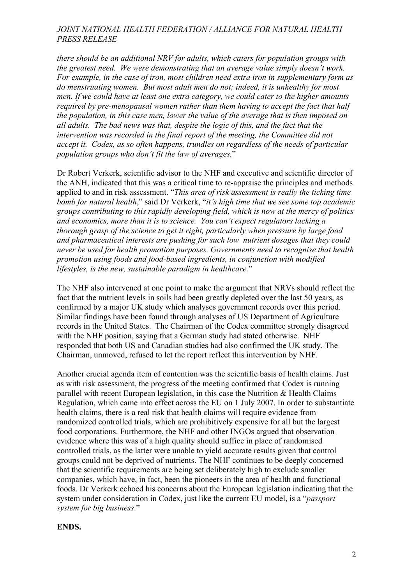## *JOINT NATIONAL HEALTH FEDERATION / ALLIANCE FOR NATURAL HEALTH PRESS RELEASE*

*there should be an additional NRV for adults, which caters for population groups with the greatest need. We were demonstrating that an average value simply doesn't work. For example, in the case of iron, most children need extra iron in supplementary form as do menstruating women. But most adult men do not; indeed, it is unhealthy for most men. If we could have at least one extra category, we could cater to the higher amounts required by pre-menopausal women rather than them having to accept the fact that half the population, in this case men, lower the value of the average that is then imposed on all adults. The bad news was that, despite the logic of this, and the fact that the intervention was recorded in the final report of the meeting, the Committee did not accept it. Codex, as so often happens, trundles on regardless of the needs of particular population groups who don't fit the law of averages.*"

Dr Robert Verkerk, scientific advisor to the NHF and executive and scientific director of the ANH, indicated that this was a critical time to re-appraise the principles and methods applied to and in risk assessment. "*This area of risk assessment is really the ticking time bomb for natural health*," said Dr Verkerk, "*it's high time that we see some top academic groups contributing to this rapidly developing field, which is now at the mercy of politics and economics, more than it is to science. You can't expect regulators lacking a thorough grasp of the science to get it right, particularly when pressure by large food and pharmaceutical interests are pushing for such low nutrient dosages that they could never be used for health promotion purposes. Governments need to recognise that health promotion using foods and food-based ingredients, in conjunction with modified lifestyles, is the new, sustainable paradigm in healthcare.*"

The NHF also intervened at one point to make the argument that NRVs should reflect the fact that the nutrient levels in soils had been greatly depleted over the last 50 years, as confirmed by a major UK study which analyses government records over this period. Similar findings have been found through analyses of US Department of Agriculture records in the United States. The Chairman of the Codex committee strongly disagreed with the NHF position, saying that a German study had stated otherwise. NHF responded that both US and Canadian studies had also confirmed the UK study. The Chairman, unmoved, refused to let the report reflect this intervention by NHF.

Another crucial agenda item of contention was the scientific basis of health claims. Just as with risk assessment, the progress of the meeting confirmed that Codex is running parallel with recent European legislation, in this case the Nutrition & Health Claims Regulation, which came into effect across the EU on 1 July 2007. In order to substantiate health claims, there is a real risk that health claims will require evidence from randomized controlled trials, which are prohibitively expensive for all but the largest food corporations. Furthermore, the NHF and other INGOs argued that observation evidence where this was of a high quality should suffice in place of randomised controlled trials, as the latter were unable to yield accurate results given that control groups could not be deprived of nutrients. The NHF continues to be deeply concerned that the scientific requirements are being set deliberately high to exclude smaller companies, which have, in fact, been the pioneers in the area of health and functional foods. Dr Verkerk echoed his concerns about the European legislation indicating that the system under consideration in Codex, just like the current EU model, is a "*passport system for big business*."

## **ENDS.**